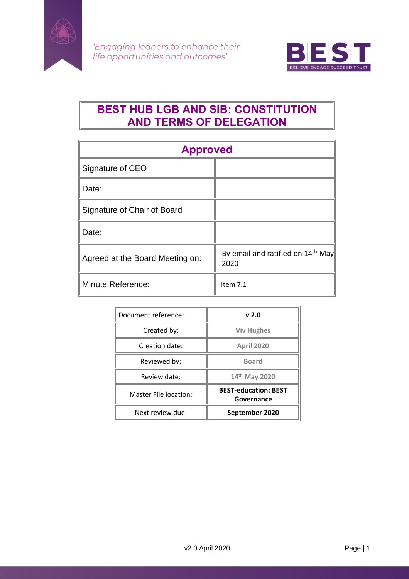



# **BEST HUB LGB AND SIB: CONSTITUTION AND TERMS OF DELEGATION**

| <b>Approved</b>                 |                                                       |
|---------------------------------|-------------------------------------------------------|
| Signature of CEO                |                                                       |
| Date:                           |                                                       |
| Signature of Chair of Board     |                                                       |
| Date:                           |                                                       |
| Agreed at the Board Meeting on: | By email and ratified on 14 <sup>th</sup> May<br>2020 |
| Minute Reference:               | Item $7.1$                                            |

| Document reference:   | v <sub>2.0</sub>                          |
|-----------------------|-------------------------------------------|
| Created by:           | <b>Viv Hughes</b>                         |
| Creation date:        | <b>April 2020</b>                         |
| Reviewed by:          | <b>Board</b>                              |
| Review date:          | 14th May 2020                             |
| Master File location: | <b>BEST-education: BEST</b><br>Governance |
| Next review due:      | September 2020                            |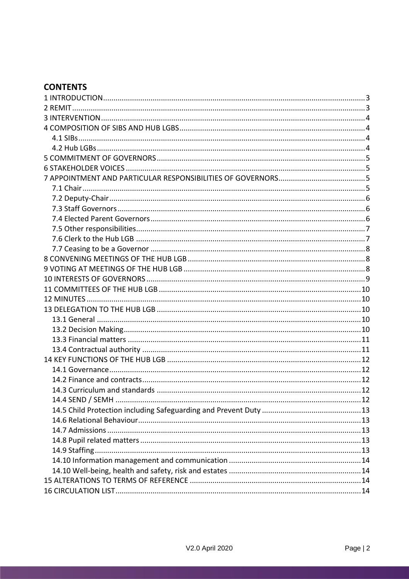## **CONTENTS**

| $14.4$ SEND / SEMH |  |
|--------------------|--|
|                    |  |
|                    |  |
|                    |  |
|                    |  |
|                    |  |
|                    |  |
|                    |  |
|                    |  |
|                    |  |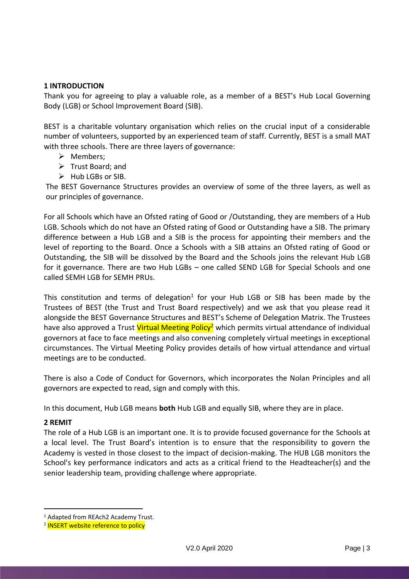## <span id="page-2-0"></span>**1 INTRODUCTION**

Thank you for agreeing to play a valuable role, as a member of a BEST's Hub Local Governing Body (LGB) or School Improvement Board (SIB).

BEST is a charitable voluntary organisation which relies on the crucial input of a considerable number of volunteers, supported by an experienced team of staff. Currently, BEST is a small MAT with three schools. There are three layers of governance:

- ➢ Members;
- ➢ Trust Board; and
- ➢ Hub LGBs or SIB.

The BEST Governance Structures provides an overview of some of the three layers, as well as our principles of governance.

For all Schools which have an Ofsted rating of Good or /Outstanding, they are members of a Hub LGB. Schools which do not have an Ofsted rating of Good or Outstanding have a SIB. The primary difference between a Hub LGB and a SIB is the process for appointing their members and the level of reporting to the Board. Once a Schools with a SIB attains an Ofsted rating of Good or Outstanding, the SIB will be dissolved by the Board and the Schools joins the relevant Hub LGB for it governance. There are two Hub LGBs – one called SEND LGB for Special Schools and one called SEMH LGB for SEMH PRUs.

This constitution and terms of delegation<sup>1</sup> for your Hub LGB or SIB has been made by the Trustees of BEST (the Trust and Trust Board respectively) and we ask that you please read it alongside the BEST Governance Structures and BEST's Scheme of Delegation Matrix. The Trustees have also approved a Trust Virtual Meeting Policy<sup>2</sup> which permits virtual attendance of individual governors at face to face meetings and also convening completely virtual meetings in exceptional circumstances. The Virtual Meeting Policy provides details of how virtual attendance and virtual meetings are to be conducted.

There is also a Code of Conduct for Governors, which incorporates the Nolan Principles and all governors are expected to read, sign and comply with this.

In this document, Hub LGB means **both** Hub LGB and equally SIB, where they are in place.

## <span id="page-2-1"></span>**2 REMIT**

The role of a Hub LGB is an important one. It is to provide focused governance for the Schools at a local level. The Trust Board's intention is to ensure that the responsibility to govern the Academy is vested in those closest to the impact of decision-making. The HUB LGB monitors the School's key performance indicators and acts as a critical friend to the Headteacher(s) and the senior leadership team, providing challenge where appropriate.

<sup>1</sup> Adapted from REAch2 Academy Trust.

<sup>&</sup>lt;sup>2</sup> INSERT website reference to policy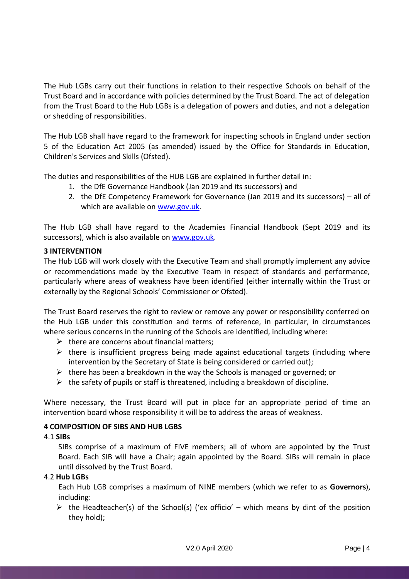The Hub LGBs carry out their functions in relation to their respective Schools on behalf of the Trust Board and in accordance with policies determined by the Trust Board. The act of delegation from the Trust Board to the Hub LGBs is a delegation of powers and duties, and not a delegation or shedding of responsibilities.

The Hub LGB shall have regard to the framework for inspecting schools in England under section 5 of the Education Act 2005 (as amended) issued by the Office for Standards in Education, Children's Services and Skills (Ofsted).

The duties and responsibilities of the HUB LGB are explained in further detail in:

- 1. the DfE Governance Handbook (Jan 2019 and its successors) and
- 2. the DfE Competency Framework for Governance (Jan 2019 and its successors) all of which are available on [www.gov.uk.](http://www.gov.uk/)

The Hub LGB shall have regard to the Academies Financial Handbook (Sept 2019 and its successors), which is also available on [www.gov.uk.](http://www.gov.uk/)

## <span id="page-3-0"></span>**3 INTERVENTION**

The Hub LGB will work closely with the Executive Team and shall promptly implement any advice or recommendations made by the Executive Team in respect of standards and performance, particularly where areas of weakness have been identified (either internally within the Trust or externally by the Regional Schools' Commissioner or Ofsted).

The Trust Board reserves the right to review or remove any power or responsibility conferred on the Hub LGB under this constitution and terms of reference, in particular, in circumstances where serious concerns in the running of the Schools are identified, including where:

- $\triangleright$  there are concerns about financial matters:
- $\triangleright$  there is insufficient progress being made against educational targets (including where intervention by the Secretary of State is being considered or carried out);
- $\triangleright$  there has been a breakdown in the way the Schools is managed or governed; or
- $\triangleright$  the safety of pupils or staff is threatened, including a breakdown of discipline.

Where necessary, the Trust Board will put in place for an appropriate period of time an intervention board whose responsibility it will be to address the areas of weakness.

## <span id="page-3-1"></span>**4 COMPOSITION OF SIBS AND HUB LGBS**

## <span id="page-3-2"></span>4.1 **SIBs**

SIBs comprise of a maximum of FIVE members; all of whom are appointed by the Trust Board. Each SIB will have a Chair; again appointed by the Board. SIBs will remain in place until dissolved by the Trust Board.

## <span id="page-3-3"></span>4.2 **Hub LGBs**

Each Hub LGB comprises a maximum of NINE members (which we refer to as **Governors**), including:

 $\triangleright$  the Headteacher(s) of the School(s) ('ex officio' – which means by dint of the position they hold);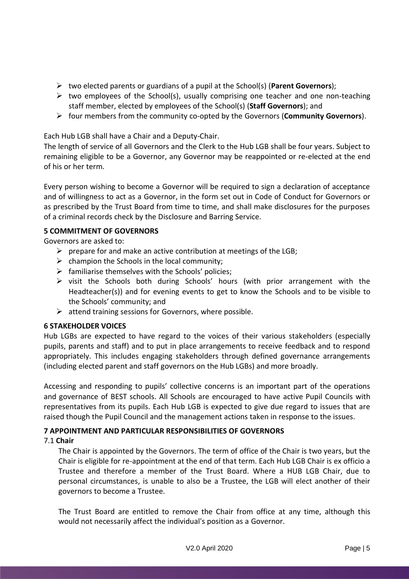- ➢ two elected parents or guardians of a pupil at the School(s) (**Parent Governors**);
- $\triangleright$  two employees of the School(s), usually comprising one teacher and one non-teaching staff member, elected by employees of the School(s) (**Staff Governors**); and
- ➢ four members from the community co-opted by the Governors (**Community Governors**).

Each Hub LGB shall have a Chair and a Deputy-Chair.

The length of service of all Governors and the Clerk to the Hub LGB shall be four years. Subject to remaining eligible to be a Governor, any Governor may be reappointed or re-elected at the end of his or her term.

Every person wishing to become a Governor will be required to sign a declaration of acceptance and of willingness to act as a Governor, in the form set out in Code of Conduct for Governors or as prescribed by the Trust Board from time to time, and shall make disclosures for the purposes of a criminal records check by the Disclosure and Barring Service.

## <span id="page-4-0"></span>**5 COMMITMENT OF GOVERNORS**

Governors are asked to:

- $\triangleright$  prepare for and make an active contribution at meetings of the LGB;
- $\triangleright$  champion the Schools in the local community;
- $\triangleright$  familiarise themselves with the Schools' policies;
- ➢ visit the Schools both during Schools' hours (with prior arrangement with the Headteacher(s)) and for evening events to get to know the Schools and to be visible to the Schools' community; and
- $\triangleright$  attend training sessions for Governors, where possible.

## <span id="page-4-1"></span>**6 STAKEHOLDER VOICES**

Hub LGBs are expected to have regard to the voices of their various stakeholders (especially pupils, parents and staff) and to put in place arrangements to receive feedback and to respond appropriately. This includes engaging stakeholders through defined governance arrangements (including elected parent and staff governors on the Hub LGBs) and more broadly.

Accessing and responding to pupils' collective concerns is an important part of the operations and governance of BEST schools. All Schools are encouraged to have active Pupil Councils with representatives from its pupils. Each Hub LGB is expected to give due regard to issues that are raised though the Pupil Council and the management actions taken in response to the issues.

## <span id="page-4-2"></span>**7 APPOINTMENT AND PARTICULAR RESPONSIBILITIES OF GOVERNORS**

## <span id="page-4-3"></span>7.1 **Chair**

The Chair is appointed by the Governors. The term of office of the Chair is two years, but the Chair is eligible for re-appointment at the end of that term. Each Hub LGB Chair is ex officio a Trustee and therefore a member of the Trust Board. Where a HUB LGB Chair, due to personal circumstances, is unable to also be a Trustee, the LGB will elect another of their governors to become a Trustee.

The Trust Board are entitled to remove the Chair from office at any time, although this would not necessarily affect the individual's position as a Governor.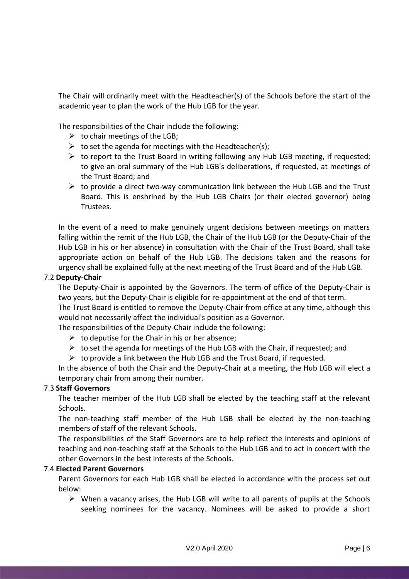The Chair will ordinarily meet with the Headteacher(s) of the Schools before the start of the academic year to plan the work of the Hub LGB for the year.

The responsibilities of the Chair include the following:

- $\triangleright$  to chair meetings of the LGB;
- $\triangleright$  to set the agenda for meetings with the Headteacher(s);
- $\triangleright$  to report to the Trust Board in writing following any Hub LGB meeting, if requested; to give an oral summary of the Hub LGB's deliberations, if requested, at meetings of the Trust Board; and
- $\triangleright$  to provide a direct two-way communication link between the Hub LGB and the Trust Board. This is enshrined by the Hub LGB Chairs (or their elected governor) being Trustees.

In the event of a need to make genuinely urgent decisions between meetings on matters falling within the remit of the Hub LGB, the Chair of the Hub LGB (or the Deputy-Chair of the Hub LGB in his or her absence) in consultation with the Chair of the Trust Board, shall take appropriate action on behalf of the Hub LGB. The decisions taken and the reasons for urgency shall be explained fully at the next meeting of the Trust Board and of the Hub LGB.

## <span id="page-5-0"></span>7.2 **Deputy-Chair**

The Deputy-Chair is appointed by the Governors. The term of office of the Deputy-Chair is two years, but the Deputy-Chair is eligible for re-appointment at the end of that term.

The Trust Board is entitled to remove the Deputy-Chair from office at any time, although this would not necessarily affect the individual's position as a Governor.

The responsibilities of the Deputy-Chair include the following:

- $\triangleright$  to deputise for the Chair in his or her absence:
- $\triangleright$  to set the agenda for meetings of the Hub LGB with the Chair, if requested; and
- $\triangleright$  to provide a link between the Hub LGB and the Trust Board, if requested.

In the absence of both the Chair and the Deputy-Chair at a meeting, the Hub LGB will elect a temporary chair from among their number.

## <span id="page-5-1"></span>7.3 **Staff Governors**

The teacher member of the Hub LGB shall be elected by the teaching staff at the relevant Schools.

The non-teaching staff member of the Hub LGB shall be elected by the non-teaching members of staff of the relevant Schools.

The responsibilities of the Staff Governors are to help reflect the interests and opinions of teaching and non-teaching staff at the Schools to the Hub LGB and to act in concert with the other Governors in the best interests of the Schools.

## <span id="page-5-2"></span>7.4 **Elected Parent Governors**

Parent Governors for each Hub LGB shall be elected in accordance with the process set out below:

 $\triangleright$  When a vacancy arises, the Hub LGB will write to all parents of pupils at the Schools seeking nominees for the vacancy. Nominees will be asked to provide a short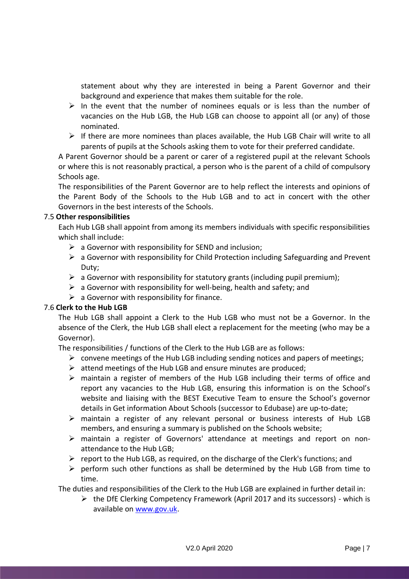statement about why they are interested in being a Parent Governor and their background and experience that makes them suitable for the role.

- $\triangleright$  In the event that the number of nominees equals or is less than the number of vacancies on the Hub LGB, the Hub LGB can choose to appoint all (or any) of those nominated.
- $\triangleright$  If there are more nominees than places available, the Hub LGB Chair will write to all parents of pupils at the Schools asking them to vote for their preferred candidate.

A Parent Governor should be a parent or carer of a registered pupil at the relevant Schools or where this is not reasonably practical, a person who is the parent of a child of compulsory Schools age.

The responsibilities of the Parent Governor are to help reflect the interests and opinions of the Parent Body of the Schools to the Hub LGB and to act in concert with the other Governors in the best interests of the Schools.

## <span id="page-6-0"></span>7.5 **Other responsibilities**

Each Hub LGB shall appoint from among its members individuals with specific responsibilities which shall include:

- $\triangleright$  a Governor with responsibility for SEND and inclusion;
- $\triangleright$  a Governor with responsibility for Child Protection including Safeguarding and Prevent Duty;
- $\triangleright$  a Governor with responsibility for statutory grants (including pupil premium);
- $\triangleright$  a Governor with responsibility for well-being, health and safety; and
- $\triangleright$  a Governor with responsibility for finance.

## <span id="page-6-1"></span>7.6 **Clerk to the Hub LGB**

The Hub LGB shall appoint a Clerk to the Hub LGB who must not be a Governor. In the absence of the Clerk, the Hub LGB shall elect a replacement for the meeting (who may be a Governor).

The responsibilities / functions of the Clerk to the Hub LGB are as follows:

- $\triangleright$  convene meetings of the Hub LGB including sending notices and papers of meetings;
- $\triangleright$  attend meetings of the Hub LGB and ensure minutes are produced;
- $\triangleright$  maintain a register of members of the Hub LGB including their terms of office and report any vacancies to the Hub LGB, ensuring this information is on the School's website and liaising with the BEST Executive Team to ensure the School's governor details in Get information About Schools (successor to Edubase) are up-to-date;
- $\triangleright$  maintain a register of any relevant personal or business interests of Hub LGB members, and ensuring a summary is published on the Schools website;
- ➢ maintain a register of Governors' attendance at meetings and report on nonattendance to the Hub LGB;
- $\triangleright$  report to the Hub LGB, as required, on the discharge of the Clerk's functions; and
- $\triangleright$  perform such other functions as shall be determined by the Hub LGB from time to time.

The duties and responsibilities of the Clerk to the Hub LGB are explained in further detail in:

➢ the DfE Clerking Competency Framework (April 2017 and its successors) - which is available on [www.gov.uk.](file:///C:/Users/viv/Desktop/BEST/BEST%20Governance/ToRs/www.gov.uk)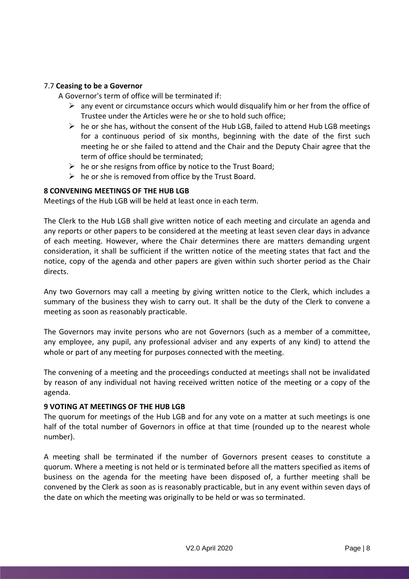## <span id="page-7-0"></span>7.7 **Ceasing to be a Governor**

A Governor's term of office will be terminated if:

- $\triangleright$  any event or circumstance occurs which would disqualify him or her from the office of Trustee under the Articles were he or she to hold such office;
- $\triangleright$  he or she has, without the consent of the Hub LGB, failed to attend Hub LGB meetings for a continuous period of six months, beginning with the date of the first such meeting he or she failed to attend and the Chair and the Deputy Chair agree that the term of office should be terminated;
- $\triangleright$  he or she resigns from office by notice to the Trust Board;
- $\triangleright$  he or she is removed from office by the Trust Board.

## <span id="page-7-1"></span>**8 CONVENING MEETINGS OF THE HUB LGB**

Meetings of the Hub LGB will be held at least once in each term.

The Clerk to the Hub LGB shall give written notice of each meeting and circulate an agenda and any reports or other papers to be considered at the meeting at least seven clear days in advance of each meeting. However, where the Chair determines there are matters demanding urgent consideration, it shall be sufficient if the written notice of the meeting states that fact and the notice, copy of the agenda and other papers are given within such shorter period as the Chair directs.

Any two Governors may call a meeting by giving written notice to the Clerk, which includes a summary of the business they wish to carry out. It shall be the duty of the Clerk to convene a meeting as soon as reasonably practicable.

The Governors may invite persons who are not Governors (such as a member of a committee, any employee, any pupil, any professional adviser and any experts of any kind) to attend the whole or part of any meeting for purposes connected with the meeting.

The convening of a meeting and the proceedings conducted at meetings shall not be invalidated by reason of any individual not having received written notice of the meeting or a copy of the agenda.

#### <span id="page-7-2"></span>**9 VOTING AT MEETINGS OF THE HUB LGB**

The quorum for meetings of the Hub LGB and for any vote on a matter at such meetings is one half of the total number of Governors in office at that time (rounded up to the nearest whole number).

A meeting shall be terminated if the number of Governors present ceases to constitute a quorum. Where a meeting is not held or is terminated before all the matters specified as items of business on the agenda for the meeting have been disposed of, a further meeting shall be convened by the Clerk as soon as is reasonably practicable, but in any event within seven days of the date on which the meeting was originally to be held or was so terminated.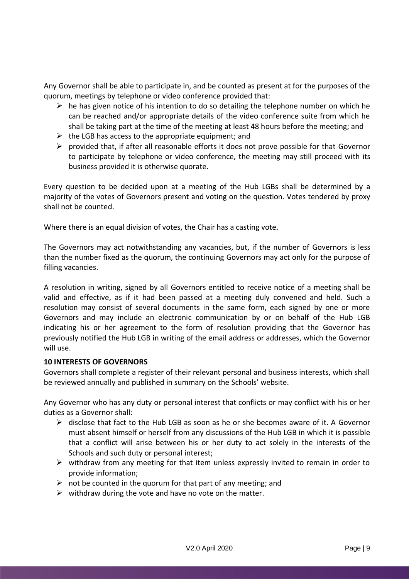Any Governor shall be able to participate in, and be counted as present at for the purposes of the quorum, meetings by telephone or video conference provided that:

- $\triangleright$  he has given notice of his intention to do so detailing the telephone number on which he can be reached and/or appropriate details of the video conference suite from which he shall be taking part at the time of the meeting at least 48 hours before the meeting; and
- $\triangleright$  the LGB has access to the appropriate equipment; and
- $\triangleright$  provided that, if after all reasonable efforts it does not prove possible for that Governor to participate by telephone or video conference, the meeting may still proceed with its business provided it is otherwise quorate.

Every question to be decided upon at a meeting of the Hub LGBs shall be determined by a majority of the votes of Governors present and voting on the question. Votes tendered by proxy shall not be counted.

Where there is an equal division of votes, the Chair has a casting vote.

The Governors may act notwithstanding any vacancies, but, if the number of Governors is less than the number fixed as the quorum, the continuing Governors may act only for the purpose of filling vacancies.

A resolution in writing, signed by all Governors entitled to receive notice of a meeting shall be valid and effective, as if it had been passed at a meeting duly convened and held. Such a resolution may consist of several documents in the same form, each signed by one or more Governors and may include an electronic communication by or on behalf of the Hub LGB indicating his or her agreement to the form of resolution providing that the Governor has previously notified the Hub LGB in writing of the email address or addresses, which the Governor will use.

## <span id="page-8-0"></span>**10 INTERESTS OF GOVERNORS**

Governors shall complete a register of their relevant personal and business interests, which shall be reviewed annually and published in summary on the Schools' website.

Any Governor who has any duty or personal interest that conflicts or may conflict with his or her duties as a Governor shall:

- $\triangleright$  disclose that fact to the Hub LGB as soon as he or she becomes aware of it. A Governor must absent himself or herself from any discussions of the Hub LGB in which it is possible that a conflict will arise between his or her duty to act solely in the interests of the Schools and such duty or personal interest;
- $\triangleright$  withdraw from any meeting for that item unless expressly invited to remain in order to provide information;
- $\triangleright$  not be counted in the quorum for that part of any meeting; and
- $\triangleright$  withdraw during the vote and have no vote on the matter.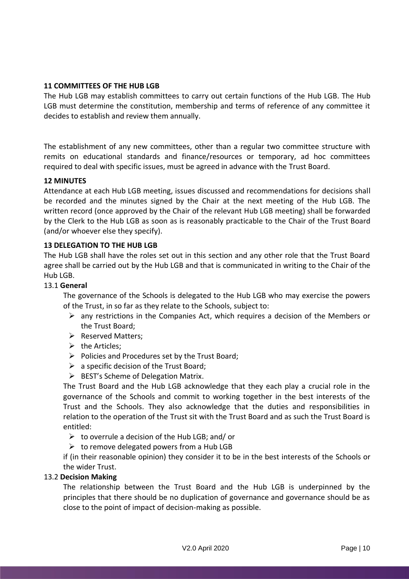## <span id="page-9-0"></span>**11 COMMITTEES OF THE HUB LGB**

The Hub LGB may establish committees to carry out certain functions of the Hub LGB. The Hub LGB must determine the constitution, membership and terms of reference of any committee it decides to establish and review them annually.

The establishment of any new committees, other than a regular two committee structure with remits on educational standards and finance/resources or temporary, ad hoc committees required to deal with specific issues, must be agreed in advance with the Trust Board.

## <span id="page-9-1"></span>**12 MINUTES**

Attendance at each Hub LGB meeting, issues discussed and recommendations for decisions shall be recorded and the minutes signed by the Chair at the next meeting of the Hub LGB. The written record (once approved by the Chair of the relevant Hub LGB meeting) shall be forwarded by the Clerk to the Hub LGB as soon as is reasonably practicable to the Chair of the Trust Board (and/or whoever else they specify).

## <span id="page-9-2"></span>**13 DELEGATION TO THE HUB LGB**

The Hub LGB shall have the roles set out in this section and any other role that the Trust Board agree shall be carried out by the Hub LGB and that is communicated in writing to the Chair of the Hub LGB.

## <span id="page-9-3"></span>13.1 **General**

The governance of the Schools is delegated to the Hub LGB who may exercise the powers of the Trust, in so far as they relate to the Schools, subject to:

- $\triangleright$  any restrictions in the Companies Act, which requires a decision of the Members or the Trust Board;
- ➢ Reserved Matters;
- $\triangleright$  the Articles:
- ➢ Policies and Procedures set by the Trust Board;
- $\triangleright$  a specific decision of the Trust Board:
- ➢ BEST's Scheme of Delegation Matrix.

The Trust Board and the Hub LGB acknowledge that they each play a crucial role in the governance of the Schools and commit to working together in the best interests of the Trust and the Schools. They also acknowledge that the duties and responsibilities in relation to the operation of the Trust sit with the Trust Board and as such the Trust Board is entitled:

- $\triangleright$  to overrule a decision of the Hub LGB; and/ or
- $\triangleright$  to remove delegated powers from a Hub LGB

if (in their reasonable opinion) they consider it to be in the best interests of the Schools or the wider Trust.

## <span id="page-9-4"></span>13.2 **Decision Making**

The relationship between the Trust Board and the Hub LGB is underpinned by the principles that there should be no duplication of governance and governance should be as close to the point of impact of decision-making as possible.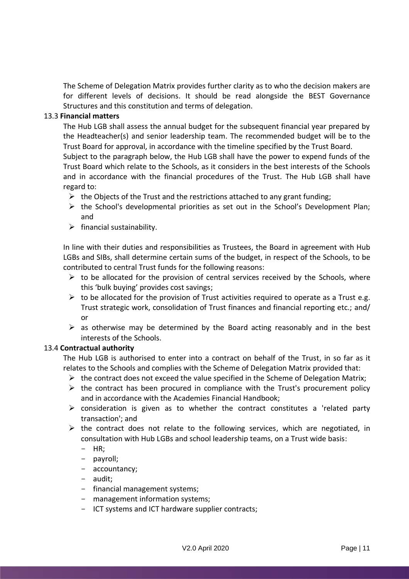The Scheme of Delegation Matrix provides further clarity as to who the decision makers are for different levels of decisions. It should be read alongside the BEST Governance Structures and this constitution and terms of delegation.

## <span id="page-10-0"></span>13.3 **Financial matters**

The Hub LGB shall assess the annual budget for the subsequent financial year prepared by the Headteacher(s) and senior leadership team. The recommended budget will be to the Trust Board for approval, in accordance with the timeline specified by the Trust Board.

Subject to the paragraph below, the Hub LGB shall have the power to expend funds of the Trust Board which relate to the Schools, as it considers in the best interests of the Schools and in accordance with the financial procedures of the Trust. The Hub LGB shall have regard to:

- $\triangleright$  the Objects of the Trust and the restrictions attached to any grant funding;
- ➢ the School's developmental priorities as set out in the School's Development Plan; and
- $\triangleright$  financial sustainability.

In line with their duties and responsibilities as Trustees, the Board in agreement with Hub LGBs and SIBs, shall determine certain sums of the budget, in respect of the Schools, to be contributed to central Trust funds for the following reasons:

- $\triangleright$  to be allocated for the provision of central services received by the Schools, where this 'bulk buying' provides cost savings;
- $\triangleright$  to be allocated for the provision of Trust activities required to operate as a Trust e.g. Trust strategic work, consolidation of Trust finances and financial reporting etc.; and/ or
- $\triangleright$  as otherwise may be determined by the Board acting reasonably and in the best interests of the Schools.

## <span id="page-10-1"></span>13.4 **Contractual authority**

The Hub LGB is authorised to enter into a contract on behalf of the Trust, in so far as it relates to the Schools and complies with the Scheme of Delegation Matrix provided that:

- $\triangleright$  the contract does not exceed the value specified in the Scheme of Delegation Matrix;
- $\triangleright$  the contract has been procured in compliance with the Trust's procurement policy and in accordance with the Academies Financial Handbook;
- $\triangleright$  consideration is given as to whether the contract constitutes a 'related party transaction'; and
- $\triangleright$  the contract does not relate to the following services, which are negotiated, in consultation with Hub LGBs and school leadership teams, on a Trust wide basis:
	- HR;
	- payroll;
	- accountancy;
	- audit;
	- financial management systems;
	- management information systems;
	- ICT systems and ICT hardware supplier contracts;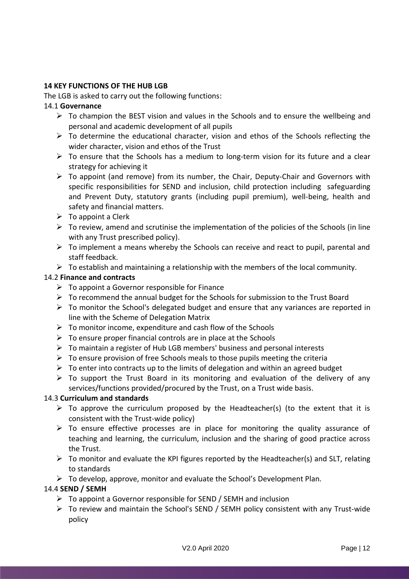## <span id="page-11-0"></span>**14 KEY FUNCTIONS OF THE HUB LGB**

The LGB is asked to carry out the following functions:

## <span id="page-11-1"></span>14.1 **Governance**

- $\triangleright$  To champion the BEST vision and values in the Schools and to ensure the wellbeing and personal and academic development of all pupils
- $\triangleright$  To determine the educational character, vision and ethos of the Schools reflecting the wider character, vision and ethos of the Trust
- $\triangleright$  To ensure that the Schools has a medium to long-term vision for its future and a clear strategy for achieving it
- $\triangleright$  To appoint (and remove) from its number, the Chair, Deputy-Chair and Governors with specific responsibilities for SEND and inclusion, child protection including safeguarding and Prevent Duty, statutory grants (including pupil premium), well-being, health and safety and financial matters.
- $\triangleright$  To appoint a Clerk
- $\triangleright$  To review, amend and scrutinise the implementation of the policies of the Schools (in line with any Trust prescribed policy).
- $\triangleright$  To implement a means whereby the Schools can receive and react to pupil, parental and staff feedback.
- $\triangleright$  To establish and maintaining a relationship with the members of the local community.

## <span id="page-11-2"></span>14.2 **Finance and contracts**

- $\triangleright$  To appoint a Governor responsible for Finance
- $\triangleright$  To recommend the annual budget for the Schools for submission to the Trust Board
- ➢ To monitor the School's delegated budget and ensure that any variances are reported in line with the Scheme of Delegation Matrix
- $\triangleright$  To monitor income, expenditure and cash flow of the Schools
- $\triangleright$  To ensure proper financial controls are in place at the Schools
- ➢ To maintain a register of Hub LGB members' business and personal interests
- $\triangleright$  To ensure provision of free Schools meals to those pupils meeting the criteria
- $\triangleright$  To enter into contracts up to the limits of delegation and within an agreed budget
- $\triangleright$  To support the Trust Board in its monitoring and evaluation of the delivery of any services/functions provided/procured by the Trust, on a Trust wide basis.

## <span id="page-11-3"></span>14.3 **Curriculum and standards**

- $\triangleright$  To approve the curriculum proposed by the Headteacher(s) (to the extent that it is consistent with the Trust-wide policy)
- $\triangleright$  To ensure effective processes are in place for monitoring the quality assurance of teaching and learning, the curriculum, inclusion and the sharing of good practice across the Trust.
- ➢ To monitor and evaluate the KPI figures reported by the Headteacher(s) and SLT, relating to standards
- $\triangleright$  To develop, approve, monitor and evaluate the School's Development Plan.

## <span id="page-11-4"></span>14.4 **SEND / SEMH**

- $\triangleright$  To appoint a Governor responsible for SEND / SEMH and inclusion
- $\triangleright$  To review and maintain the School's SEND / SEMH policy consistent with any Trust-wide policy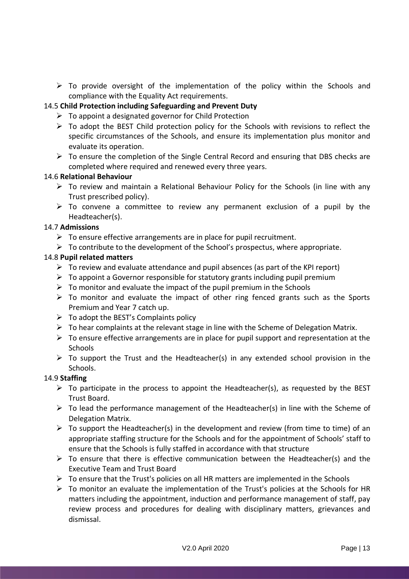➢ To provide oversight of the implementation of the policy within the Schools and compliance with the Equality Act requirements.

## <span id="page-12-0"></span>14.5 **Child Protection including Safeguarding and Prevent Duty**

- ➢ To appoint a designated governor for Child Protection
- $\triangleright$  To adopt the BEST Child protection policy for the Schools with revisions to reflect the specific circumstances of the Schools, and ensure its implementation plus monitor and evaluate its operation.
- ➢ To ensure the completion of the Single Central Record and ensuring that DBS checks are completed where required and renewed every three years.

## <span id="page-12-1"></span>14.6 **Relational Behaviour**

- $\triangleright$  To review and maintain a Relational Behaviour Policy for the Schools (in line with any Trust prescribed policy).
- $\triangleright$  To convene a committee to review any permanent exclusion of a pupil by the Headteacher(s).

## <span id="page-12-2"></span>14.7 **Admissions**

- $\triangleright$  To ensure effective arrangements are in place for pupil recruitment.
- $\triangleright$  To contribute to the development of the School's prospectus, where appropriate.

## <span id="page-12-3"></span>14.8 **Pupil related matters**

- $\triangleright$  To review and evaluate attendance and pupil absences (as part of the KPI report)
- $\triangleright$  To appoint a Governor responsible for statutory grants including pupil premium
- $\triangleright$  To monitor and evaluate the impact of the pupil premium in the Schools
- $\triangleright$  To monitor and evaluate the impact of other ring fenced grants such as the Sports Premium and Year 7 catch up.
- $\triangleright$  To adopt the BEST's Complaints policy
- $\triangleright$  To hear complaints at the relevant stage in line with the Scheme of Delegation Matrix.
- $\triangleright$  To ensure effective arrangements are in place for pupil support and representation at the **Schools**
- $\triangleright$  To support the Trust and the Headteacher(s) in any extended school provision in the Schools.

## <span id="page-12-4"></span>14.9 **Staffing**

- $\triangleright$  To participate in the process to appoint the Headteacher(s), as requested by the BEST Trust Board.
- $\triangleright$  To lead the performance management of the Headteacher(s) in line with the Scheme of Delegation Matrix.
- $\triangleright$  To support the Headteacher(s) in the development and review (from time to time) of an appropriate staffing structure for the Schools and for the appointment of Schools' staff to ensure that the Schools is fully staffed in accordance with that structure
- $\triangleright$  To ensure that there is effective communication between the Headteacher(s) and the Executive Team and Trust Board
- $\triangleright$  To ensure that the Trust's policies on all HR matters are implemented in the Schools
- $\triangleright$  To monitor an evaluate the implementation of the Trust's policies at the Schools for HR matters including the appointment, induction and performance management of staff, pay review process and procedures for dealing with disciplinary matters, grievances and dismissal.